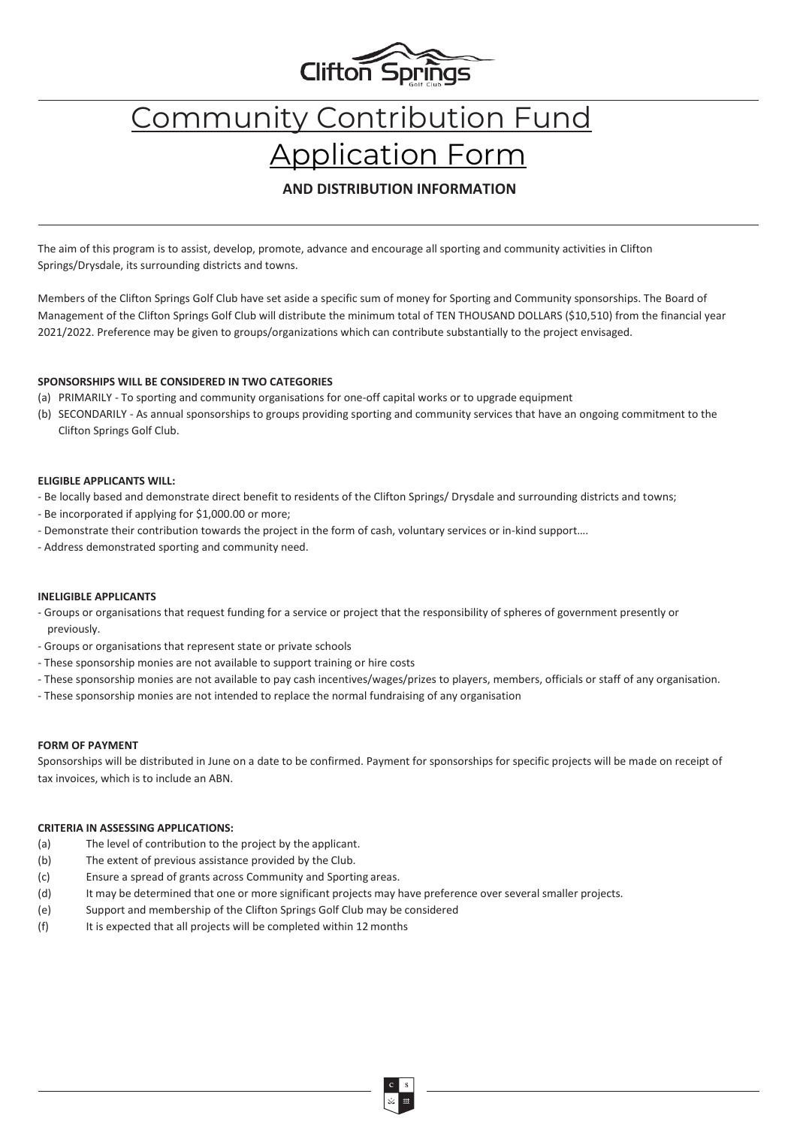

# Community Contribution Fund Application Form

### **AND DISTRIBUTION INFORMATION**

The aim of this program is to assist, develop, promote, advance and encourage all sporting and community activities in Clifton Springs/Drysdale, its surrounding districts and towns.

Members of the Clifton Springs Golf Club have set aside a specific sum of money for Sporting and Community sponsorships. The Board of Management of the Clifton Springs Golf Club will distribute the minimum total of TEN THOUSAND DOLLARS (\$10,510) from the financial year 2021/2022. Preference may be given to groups/organizations which can contribute substantially to the project envisaged.

#### **SPONSORSHIPS WILL BE CONSIDERED IN TWO CATEGORIES**

- (a) PRIMARILY To sporting and community organisations for one-off capital works or to upgrade equipment
- (b) SECONDARILY As annual sponsorships to groups providing sporting and community services that have an ongoing commitment to the Clifton Springs Golf Club.

#### **ELIGIBLE APPLICANTS WILL:**

- Be locally based and demonstrate direct benefit to residents of the Clifton Springs/ Drysdale and surrounding districts and towns;
- Be incorporated if applying for \$1,000.00 or more;
- Demonstrate their contribution towards the project in the form of cash, voluntary services or in-kind support….
- Address demonstrated sporting and community need.

#### **INELIGIBLE APPLICANTS**

- Groups or organisations that request funding for a service or project that the responsibility of spheres of government presently or previously.
- Groups or organisations that represent state or private schools
- These sponsorship monies are not available to support training or hire costs
- These sponsorship monies are not available to pay cash incentives/wages/prizes to players, members, officials or staff of any organisation.
- These sponsorship monies are not intended to replace the normal fundraising of any organisation

#### **FORM OF PAYMENT**

Sponsorships will be distributed in June on a date to be confirmed. Payment for sponsorships for specific projects will be made on receipt of tax invoices, which is to include an ABN.

#### **CRITERIA IN ASSESSING APPLICATIONS:**

- (a) The level of contribution to the project by the applicant.
- (b) The extent of previous assistance provided by the Club.
- (c) Ensure a spread of grants across Community and Sporting areas.
- (d) It may be determined that one or more significant projects may have preference over several smaller projects.
- (e) Support and membership of the Clifton Springs Golf Club may be considered
- (f) It is expected that all projects will be completed within 12 months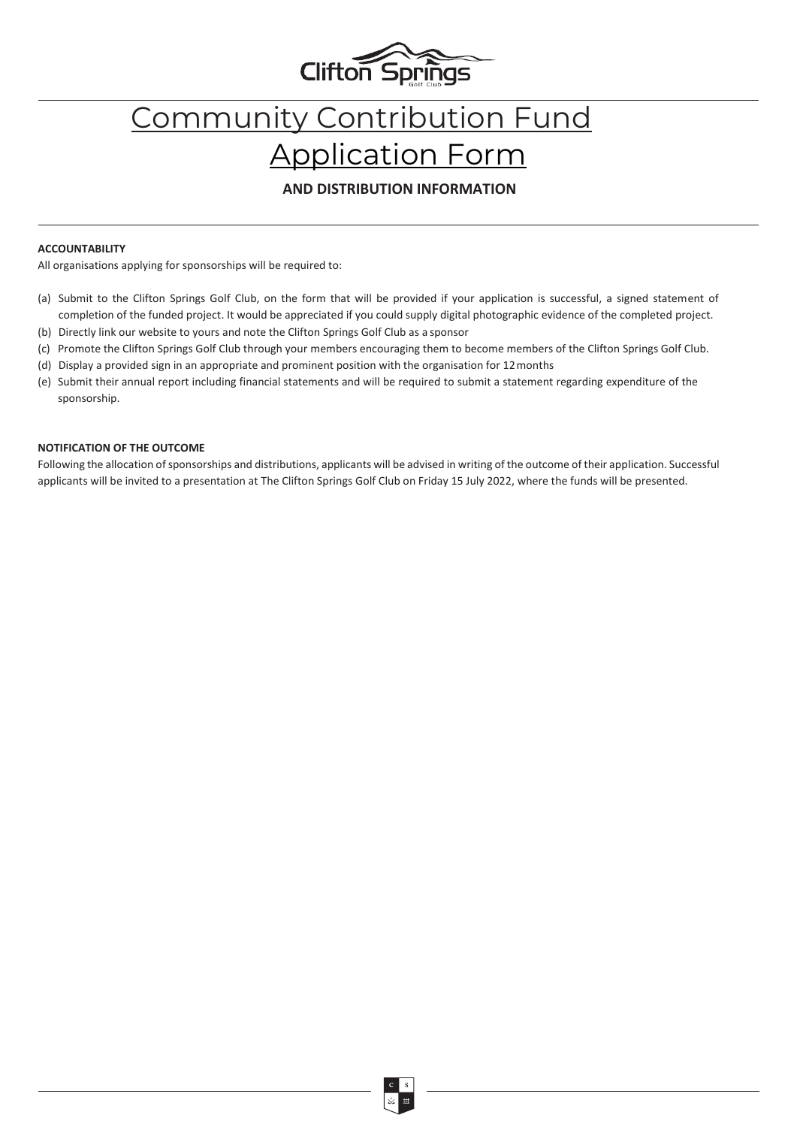

# Community Contribution Fund Application Form

### **AND DISTRIBUTION INFORMATION**

#### **ACCOUNTABILITY**

All organisations applying for sponsorships will be required to:

- (a) Submit to the Clifton Springs Golf Club, on the form that will be provided if your application is successful, a signed statement of completion of the funded project. It would be appreciated if you could supply digital photographic evidence of the completed project.
- (b) Directly link our website to yours and note the Clifton Springs Golf Club as a sponsor
- (c) Promote the Clifton Springs Golf Club through your members encouraging them to become members of the Clifton Springs Golf Club.
- (d) Display a provided sign in an appropriate and prominent position with the organisation for 12months
- (e) Submit their annual report including financial statements and will be required to submit a statement regarding expenditure of the sponsorship.

#### **NOTIFICATION OF THE OUTCOME**

Following the allocation of sponsorships and distributions, applicants will be advised in writing of the outcome of their application. Successful applicants will be invited to a presentation at The Clifton Springs Golf Club on Friday 15 July 2022, where the funds will be presented.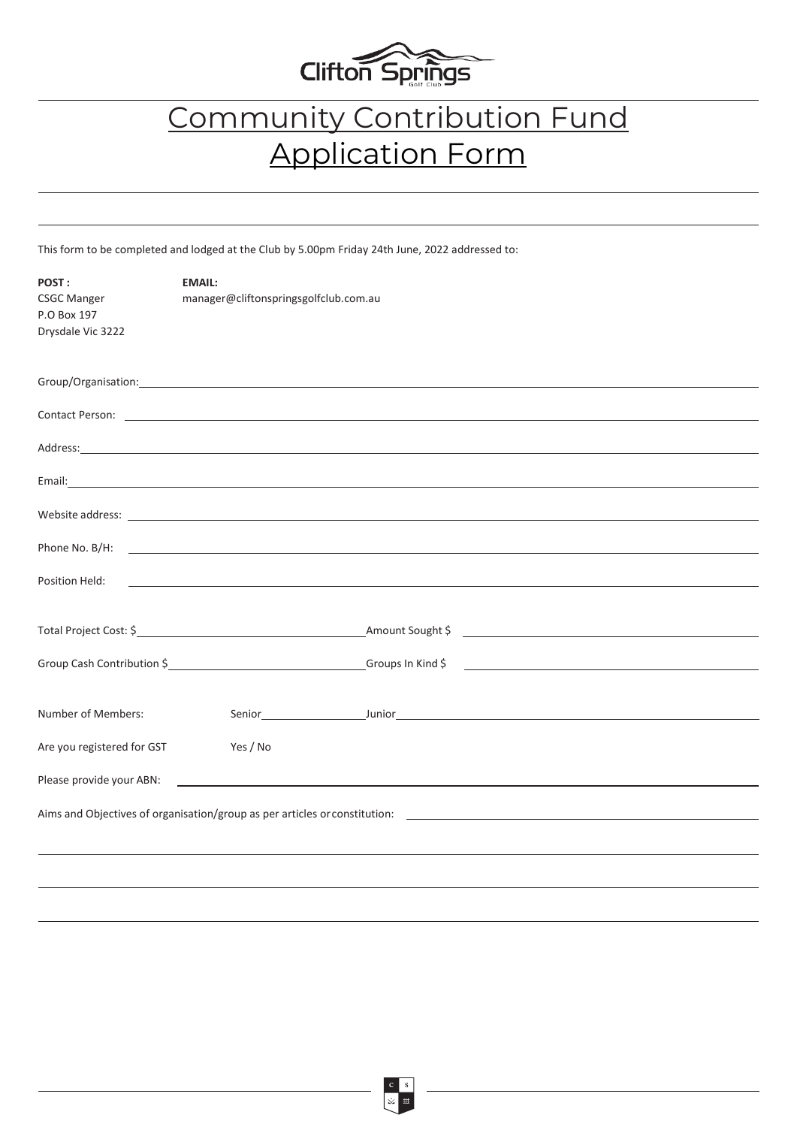

## Community Contribution Fund Application Form

This form to be completed and lodged at the Club by 5.00pm Friday 24th June, 2022 addressed to:

| POST:<br><b>CSGC Manger</b><br>P.O Box 197<br>Drysdale Vic 3222 | <b>EMAIL:</b><br>manager@cliftonspringsgolfclub.com.au    |                                                                                                                                                                                                                                     |  |
|-----------------------------------------------------------------|-----------------------------------------------------------|-------------------------------------------------------------------------------------------------------------------------------------------------------------------------------------------------------------------------------------|--|
|                                                                 |                                                           | Group/Organisation: example and a state of the state of the state of the state of the state of the state of the                                                                                                                     |  |
|                                                                 |                                                           |                                                                                                                                                                                                                                     |  |
|                                                                 |                                                           |                                                                                                                                                                                                                                     |  |
|                                                                 |                                                           |                                                                                                                                                                                                                                     |  |
|                                                                 |                                                           | Website address: <u>www.community.community.community.com</u>                                                                                                                                                                       |  |
|                                                                 |                                                           | Phone No. B/H: <u>International Account</u> Communication of the United States of the United States of the United States of the United States of the United States of the United States of the United States of the United States o |  |
| Position Held:                                                  | <u> 1989 - Johann Barnett, fransk politiker (d. 1989)</u> |                                                                                                                                                                                                                                     |  |
|                                                                 |                                                           |                                                                                                                                                                                                                                     |  |
|                                                                 |                                                           |                                                                                                                                                                                                                                     |  |
|                                                                 |                                                           |                                                                                                                                                                                                                                     |  |
| Number of Members:                                              |                                                           |                                                                                                                                                                                                                                     |  |
|                                                                 |                                                           |                                                                                                                                                                                                                                     |  |
| Are you registered for GST<br>Please provide your ABN:          | Yes / No                                                  | <u> 1980 - Andrea Andrew Maria (h. 1980).</u>                                                                                                                                                                                       |  |
|                                                                 |                                                           |                                                                                                                                                                                                                                     |  |
|                                                                 |                                                           | Aims and Objectives of organisation/group as per articles or constitution: ___________________________________                                                                                                                      |  |
|                                                                 |                                                           |                                                                                                                                                                                                                                     |  |
|                                                                 |                                                           |                                                                                                                                                                                                                                     |  |